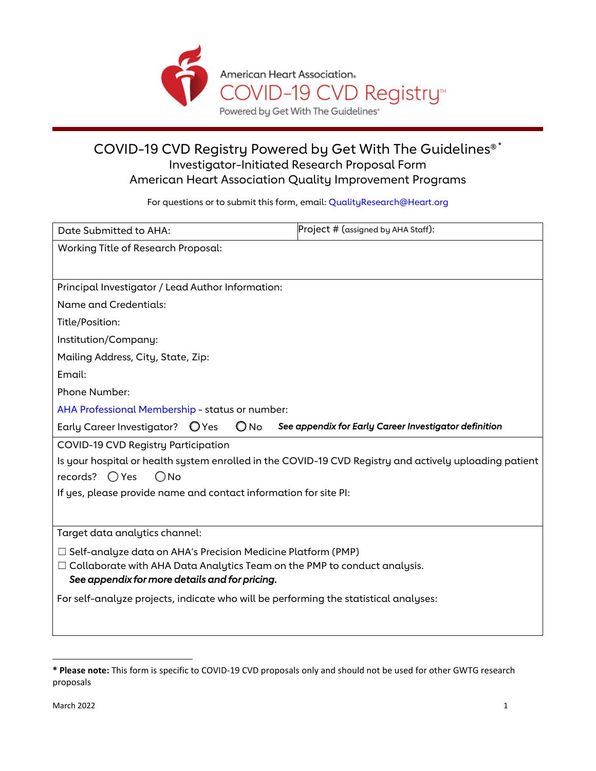

### COVID-19 CVD Registry Powered by Get With The Guidelines®[\\*](#page-0-0) Investigator-Initiated Research Proposal Form American Heart Association Quality Improvement Programs

For questions or to submit this form, email[: QualityResearch@Heart.org](mailto:QualityResearch@Heart.org?subject=GWTG-Resuscitation/PMP%20)

| Date Submitted to AHA:                                                                                 | Project # (assigned by AHA Staff):                    |
|--------------------------------------------------------------------------------------------------------|-------------------------------------------------------|
| <b>Working Title of Research Proposal:</b>                                                             |                                                       |
|                                                                                                        |                                                       |
| Principal Investigator / Lead Author Information:                                                      |                                                       |
| Name and Credentials:                                                                                  |                                                       |
| Title/Position:                                                                                        |                                                       |
| Institution/Company:                                                                                   |                                                       |
| Mailing Address, City, State, Zip:                                                                     |                                                       |
| Email:                                                                                                 |                                                       |
| Phone Number:                                                                                          |                                                       |
| AHA Professional Membership - status or number:                                                        |                                                       |
| Early Career Investigator? O Yes<br>O No                                                               | See appendix for Early Career Investigator definition |
| <b>COVID-19 CVD Registry Participation</b>                                                             |                                                       |
| Is your hospital or health system enrolled in the COVID-19 CVD Registry and actively uploading patient |                                                       |
| records? $\bigcirc$ Yes<br>$\bigcirc$ No                                                               |                                                       |
| If yes, please provide name and contact information for site PI:                                       |                                                       |
|                                                                                                        |                                                       |
| Target data analytics channel:                                                                         |                                                       |
| $\Box$ Self-analyze data on AHA's Precision Medicine Platform (PMP)                                    |                                                       |
| $\Box$ Collaborate with AHA Data Analytics Team on the PMP to conduct analysis.                        |                                                       |
| See appendix for more details and for pricing.                                                         |                                                       |
| For self-analyze projects, indicate who will be performing the statistical analyses:                   |                                                       |
|                                                                                                        |                                                       |

<span id="page-0-0"></span>**<sup>\*</sup> Please note:** This form is specific to COVID-19 CVD proposals only and should not be used for other GWTG research proposals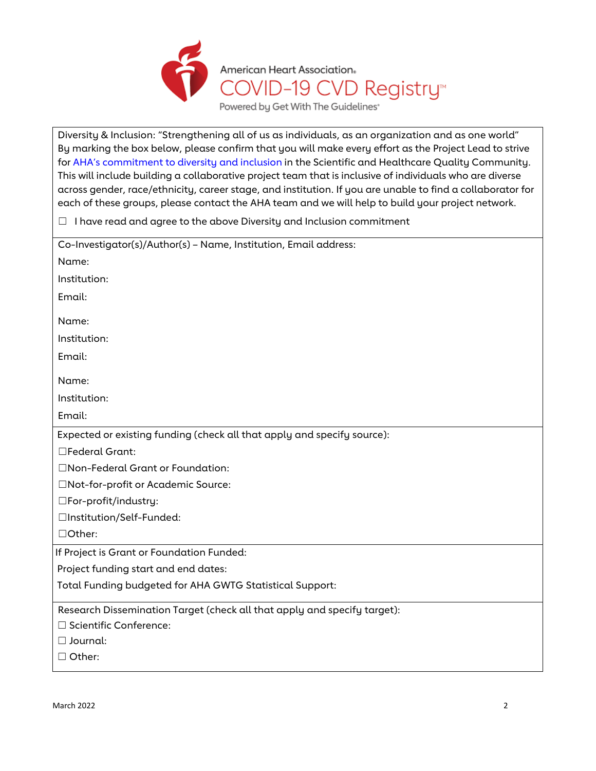

Diversity & Inclusion: "Strengthening all of us as individuals, as an organization and as one world" By marking the box below, please confirm that you will make every effort as the Project Lead to strive for [AHA's commitment to diversity and inclusion](https://www.heart.org/en/about-us/diversity-inclusion) in the Scientific and Healthcare Quality Community. This will include building a collaborative project team that is inclusive of individuals who are diverse across gender, race/ethnicity, career stage, and institution. If you are unable to find a collaborator for each of these groups, please contact the AHA team and we will help to build your project network.

☐ I have read and agree to the above Diversity and Inclusion commitment

| Co-Investigator(s)/Author(s) - Name, Institution, Email address:         |
|--------------------------------------------------------------------------|
| Name:                                                                    |
| Institution:                                                             |
| Email:                                                                   |
| Name:                                                                    |
| Institution:                                                             |
|                                                                          |
| Email:                                                                   |
| Name:                                                                    |
| Institution:                                                             |
| Email:                                                                   |
| Expected or existing funding (check all that apply and specify source):  |
| □Federal Grant:                                                          |
| □Non-Federal Grant or Foundation:                                        |
| □Not-for-profit or Academic Source:                                      |
| $\square$ For-profit/industry:                                           |
| □Institution/Self-Funded:                                                |
| □Other:                                                                  |
| If Project is Grant or Foundation Funded:                                |
| Project funding start and end dates:                                     |
| Total Funding budgeted for AHA GWTG Statistical Support:                 |
| Research Dissemination Target (check all that apply and specify target): |
| □ Scientific Conference:                                                 |
| $\Box$ Journal:                                                          |
| □ Other:                                                                 |
|                                                                          |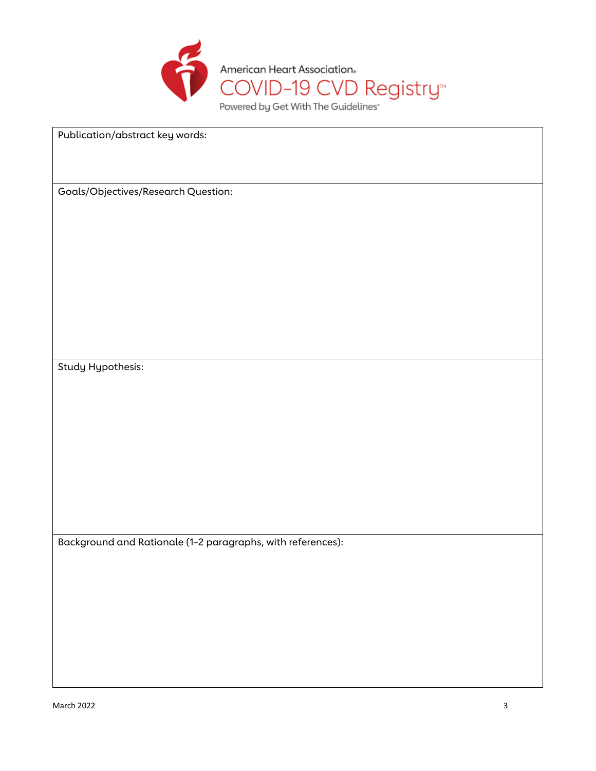

Publication/abstract key words:

Goals/Objectives/Research Question:

Study Hypothesis:

Background and Rationale (1-2 paragraphs, with references):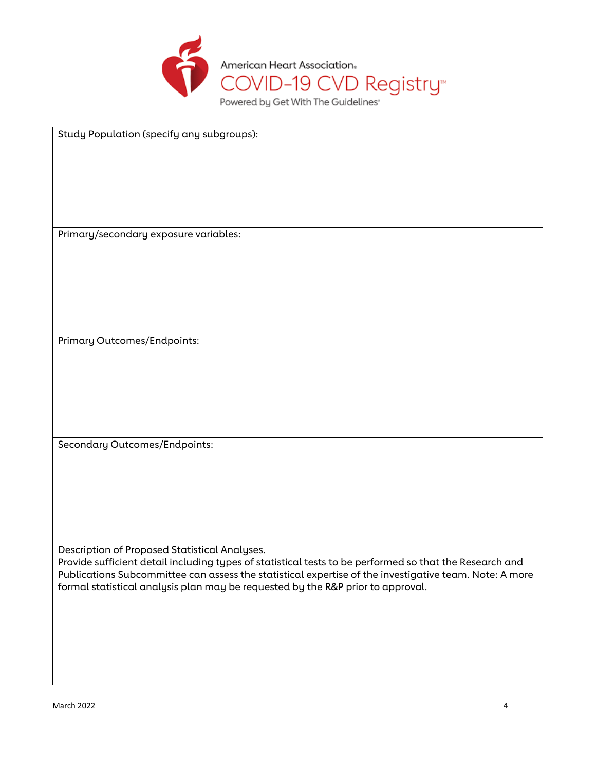

Study Population (specify any subgroups):

Primary/secondary exposure variables:

Primary Outcomes/Endpoints:

Secondary Outcomes/Endpoints:

Description of Proposed Statistical Analyses.

Provide sufficient detail including types of statistical tests to be performed so that the Research and Publications Subcommittee can assess the statistical expertise of the investigative team. Note: A more formal statistical analysis plan may be requested by the R&P prior to approval.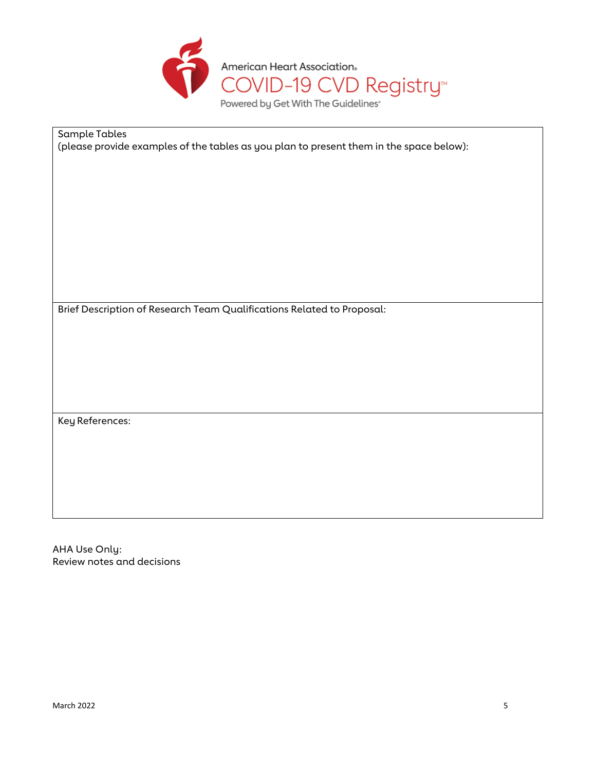

Sample Tables (please provide examples of the tables as you plan to present them in the space below):

Brief Description of Research Team Qualifications Related to Proposal:

KeyReferences:

AHA Use Only: Review notes and decisions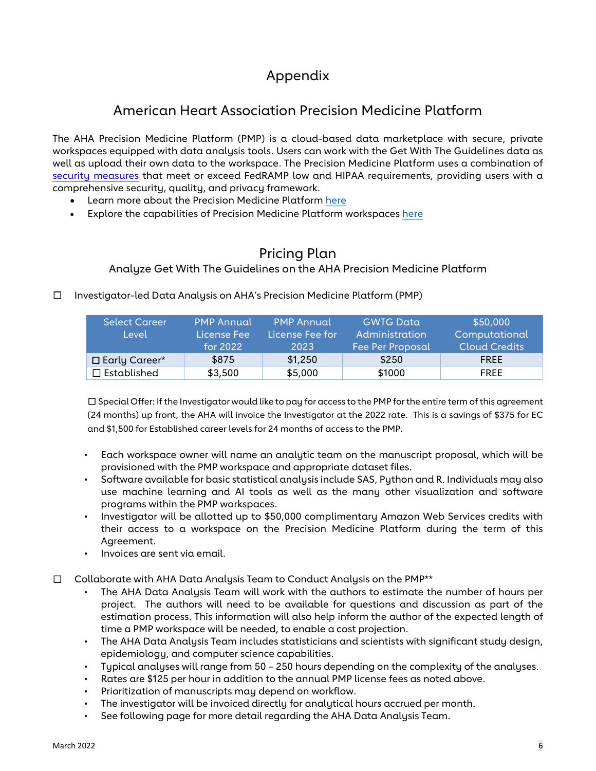# Appendix

## American Heart Association Precision Medicine Platform

The AHA Precision Medicine Platform (PMP) is a cloud-based data marketplace with secure, private workspaces equipped with data analysis tools. Users can work with the Get With The Guidelines data as well as upload their own data to the workspace. The Precision Medicine Platform uses a combination of [security measures](https://precision.heart.org/security-information) that meet or exceed FedRAMP low and HIPAA requirements, providing users with a comprehensive security, quality, and privacy framework.

- Learn more about the Precision Medicine Platfor[m here](https://precision.heart.org/documentation/index.html)
- Explore the capabilities of Precision Medicine Platform workspaces [here](https://precision.heart.org/workspace/about)

## Pricing Plan

Analyze Get With The Guidelines on the AHA Precision Medicine Platform

Select Career Level PMP Annual License Fee for 2022 PMP Annual License Fee for 2023 GWTG Data Administration Fee Per Proposal \$50,000 Computational Cloud Credits □ Early Career\* | \$875 | \$1,250 | \$250 | FREE ☐ Established \$3,500 \$5,000 \$1000 FREE

☐ Investigator-led Data Analysis on AHA's Precision Medicine Platform (PMP)

☐ Special Offer: If the Investigator would like to pay for access to the PMP for the entire term of this agreement (24 months) up front, the AHA will invoice the Investigator at the 2022 rate. This is a savings of \$375 for EC and \$1,500 for Established career levels for 24 months of access to the PMP.

- Each workspace owner will name an analytic team on the manuscript proposal, which will be provisioned with the PMP workspace and appropriate dataset files.
- Software available for basic statistical analysis include SAS, Python and R. Individuals may also use machine learning and AI tools as well as the many other visualization and software programs within the PMP workspaces.
- Investigator will be allotted up to \$50,000 complimentary Amazon Web Services credits with their access to a workspace on the Precision Medicine Platform during the term of this Agreement.
- Invoices are sent via email.

☐ Collaborate with AHA Data Analysis Team to Conduct Analysis on the PMP\*\*

- The AHA Data Analysis Team will work with the authors to estimate the number of hours per project. The authors will need to be available for questions and discussion as part of the estimation process. This information will also help inform the author of the expected length of time a PMP workspace will be needed, to enable a cost projection.
- The AHA Data Analysis Team includes statisticians and scientists with significant study design, epidemiology, and computer science capabilities.
- Typical analyses will range from 50 250 hours depending on the complexity of the analyses.
- Rates are \$125 per hour in addition to the annual PMP license fees as noted above.
- Prioritization of manuscripts may depend on workflow.
- The investigator will be invoiced directly for analytical hours accrued per month.
- See following page for more detail regarding the AHA Data Analysis Team.